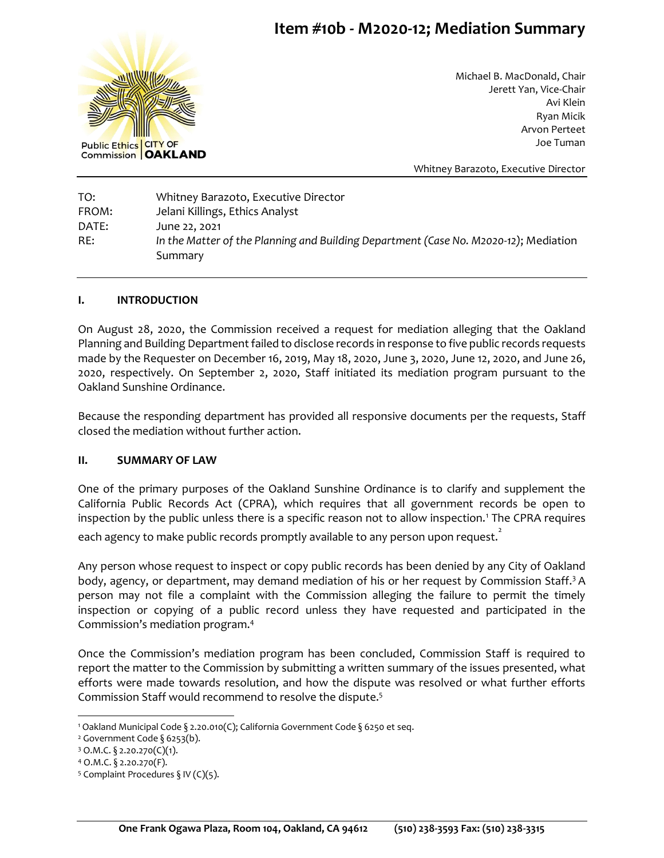# **Item #10b - M2020-12; Mediation Summary**



Michael B. MacDonald, Chair Jerett Yan, Vice-Chair Avi Klein Ryan Micik Arvon Perteet Joe Tuman

Whitney Barazoto, Executive Director

TO: Whitney Barazoto, Executive Director FROM: Jelani Killings, Ethics Analyst DATE: June 22, 2021 RE: *In the Matter of the Planning and Building Department (Case No. M2020-12)*; Mediation Summary

#### **I. INTRODUCTION**

On August 28, 2020, the Commission received a request for mediation alleging that the Oakland Planning and Building Department failed to disclose records in response to five public records requests made by the Requester on December 16, 2019, May 18, 2020, June 3, 2020, June 12, 2020, and June 26, 2020, respectively. On September 2, 2020, Staff initiated its mediation program pursuant to the Oakland Sunshine Ordinance.

Because the responding department has provided all responsive documents per the requests, Staff closed the mediation without further action.

#### **II. SUMMARY OF LAW**

One of the primary purposes of the Oakland Sunshine Ordinance is to clarify and supplement the California Public Records Act (CPRA), which requires that all government records be open to inspection by the public unless there is a specific reason not to allow inspection.<sup>1</sup> The CPRA requires

each agency to make public records promptly available to any person upon request. $\overline{\phantom{a}^{2}}$ 

Any person whose request to inspect or copy public records has been denied by any City of Oakland body, agency, or department, may demand mediation of his or her request by Commission Staff.<sup>3</sup> A person may not file a complaint with the Commission alleging the failure to permit the timely inspection or copying of a public record unless they have requested and participated in the Commission's mediation program.<sup>4</sup>

Once the Commission's mediation program has been concluded, Commission Staff is required to report the matter to the Commission by submitting a written summary of the issues presented, what efforts were made towards resolution, and how the dispute was resolved or what further efforts Commission Staff would recommend to resolve the dispute.<sup>5</sup>

<sup>1</sup> Oakland Municipal Code § 2.20.010(C); California Government Code § 6250 et seq.

<sup>&</sup>lt;sup>2</sup> Government Code § 6253(b).

<sup>3</sup> O.M.C. § 2.20.270(C)(1).

<sup>4</sup> O.M.C. § 2.20.270(F).

<sup>&</sup>lt;sup>5</sup> Complaint Procedures § IV (C)(5).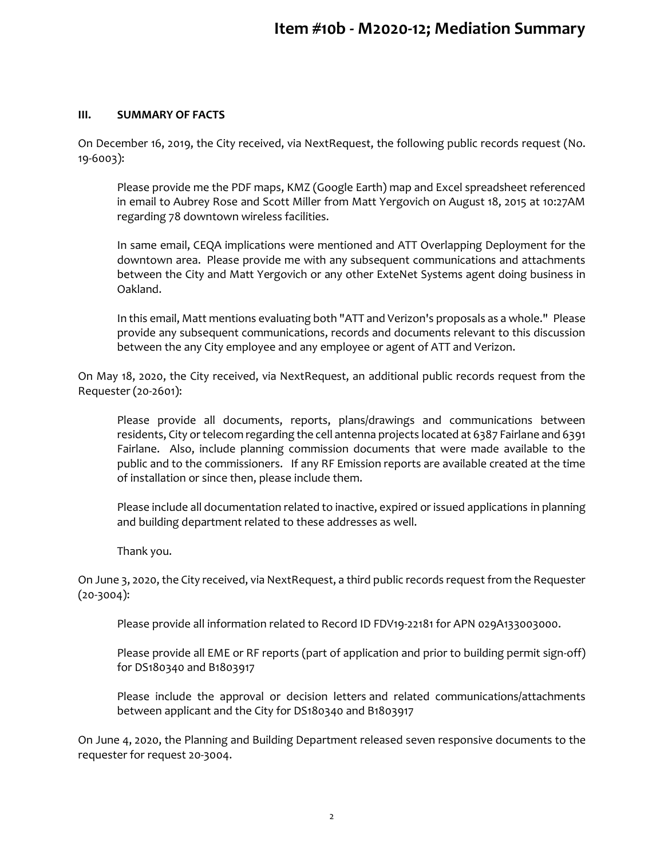#### **III. SUMMARY OF FACTS**

On December 16, 2019, the City received, via NextRequest, the following public records request (No. 19-6003):

Please provide me the PDF maps, KMZ (Google Earth) map and Excel spreadsheet referenced in email to Aubrey Rose and Scott Miller from Matt Yergovich on August 18, 2015 at 10:27AM regarding 78 downtown wireless facilities.

In same email, CEQA implications were mentioned and ATT Overlapping Deployment for the downtown area. Please provide me with any subsequent communications and attachments between the City and Matt Yergovich or any other ExteNet Systems agent doing business in Oakland.

In this email, Matt mentions evaluating both "ATT and Verizon's proposals as a whole." Please provide any subsequent communications, records and documents relevant to this discussion between the any City employee and any employee or agent of ATT and Verizon.

On May 18, 2020, the City received, via NextRequest, an additional public records request from the Requester (20-2601):

Please provide all documents, reports, plans/drawings and communications between residents, City or telecom regarding the cell antenna projects located at 6387 Fairlane and 6391 Fairlane. Also, include planning commission documents that were made available to the public and to the commissioners. If any RF Emission reports are available created at the time of installation or since then, please include them.

Please include all documentation related to inactive, expired or issued applications in planning and building department related to these addresses as well.

Thank you.

On June 3, 2020, the City received, via NextRequest, a third public records request from the Requester  $(20-3004):$ 

Please provide all information related to Record ID FDV19-22181 for APN 029A133003000.

Please provide all EME or RF reports (part of application and prior to building permit sign-off) for DS180340 and B1803917

Please include the approval or decision letters and related communications/attachments between applicant and the City for DS180340 and B1803917

On June 4, 2020, the Planning and Building Department released seven responsive documents to the requester for request 20-3004.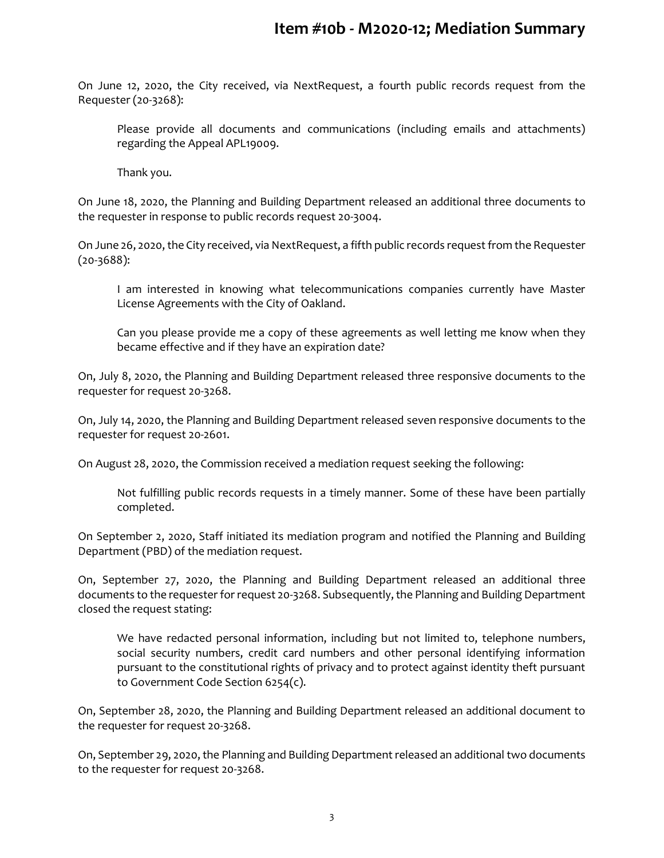On June 12, 2020, the City received, via NextRequest, a fourth public records request from the Requester (20-3268):

Please provide all documents and communications (including emails and attachments) regarding the Appeal APL19009.

Thank you.

On June 18, 2020, the Planning and Building Department released an additional three documents to the requester in response to public records request 20-3004.

On June 26, 2020, the City received, via NextRequest, a fifth public records request from the Requester (20-3688):

I am interested in knowing what telecommunications companies currently have Master License Agreements with the City of Oakland.

Can you please provide me a copy of these agreements as well letting me know when they became effective and if they have an expiration date?

On, July 8, 2020, the Planning and Building Department released three responsive documents to the requester for request 20-3268.

On, July 14, 2020, the Planning and Building Department released seven responsive documents to the requester for request 20-2601.

On August 28, 2020, the Commission received a mediation request seeking the following:

Not fulfilling public records requests in a timely manner. Some of these have been partially completed.

On September 2, 2020, Staff initiated its mediation program and notified the Planning and Building Department (PBD) of the mediation request.

On, September 27, 2020, the Planning and Building Department released an additional three documents to the requester for request 20-3268. Subsequently, the Planning and Building Department closed the request stating:

We have redacted personal information, including but not limited to, telephone numbers, social security numbers, credit card numbers and other personal identifying information pursuant to the constitutional rights of privacy and to protect against identity theft pursuant to Government Code Section 6254(c).

On, September 28, 2020, the Planning and Building Department released an additional document to the requester for request 20-3268.

On, September 29, 2020, the Planning and Building Department released an additional two documents to the requester for request 20-3268.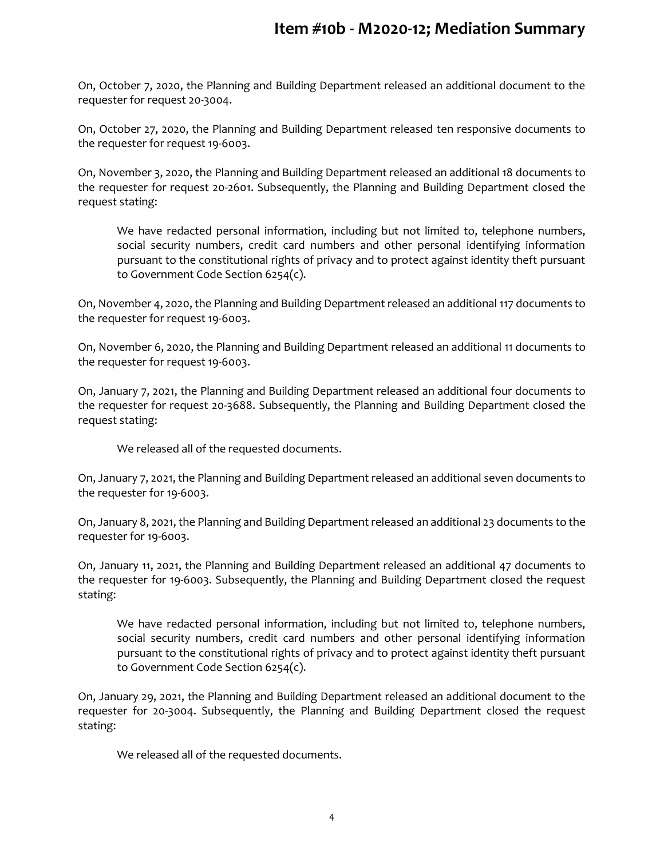On, October 7, 2020, the Planning and Building Department released an additional document to the requester for request 20-3004.

On, October 27, 2020, the Planning and Building Department released ten responsive documents to the requester for request 19-6003.

On, November 3, 2020, the Planning and Building Department released an additional 18 documents to the requester for request 20-2601. Subsequently, the Planning and Building Department closed the request stating:

We have redacted personal information, including but not limited to, telephone numbers, social security numbers, credit card numbers and other personal identifying information pursuant to the constitutional rights of privacy and to protect against identity theft pursuant to Government Code Section 6254(c).

On, November 4, 2020, the Planning and Building Department released an additional 117 documents to the requester for request 19-6003.

On, November 6, 2020, the Planning and Building Department released an additional 11 documents to the requester for request 19-6003.

On, January 7, 2021, the Planning and Building Department released an additional four documents to the requester for request 20-3688. Subsequently, the Planning and Building Department closed the request stating:

We released all of the requested documents.

On, January 7, 2021, the Planning and Building Department released an additional seven documents to the requester for 19-6003.

On, January 8, 2021, the Planning and Building Department released an additional 23 documents to the requester for 19-6003.

On, January 11, 2021, the Planning and Building Department released an additional 47 documents to the requester for 19-6003. Subsequently, the Planning and Building Department closed the request stating:

We have redacted personal information, including but not limited to, telephone numbers, social security numbers, credit card numbers and other personal identifying information pursuant to the constitutional rights of privacy and to protect against identity theft pursuant to Government Code Section 6254(c).

On, January 29, 2021, the Planning and Building Department released an additional document to the requester for 20-3004. Subsequently, the Planning and Building Department closed the request stating:

We released all of the requested documents.